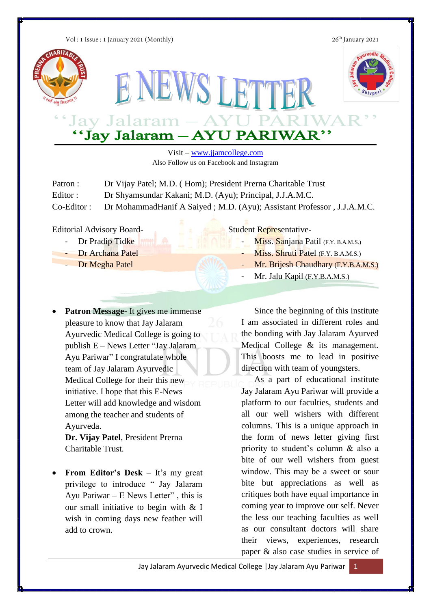Vol: 1 Issue: 1 January 2021 (Monthly)

26<sup>th</sup> January 2021





# Jay Jalaram - AYU PARIW.<br>"Jay Jalaram - AYU PARIWAR"

Visit – [www.jjamcollege.com](http://www.jjamcollege.com/) Also Follow us on Facebook and Instagram

NEWS LETTE

| Patron :     | Dr Vijay Patel; M.D. (Hom); President Prerna Charitable Trust           |
|--------------|-------------------------------------------------------------------------|
| Editor:      | Dr Shyamsundar Kakani; M.D. (Ayu); Principal, J.J.A.M.C.                |
| $Co-Editor:$ | Dr Mohammad Hanif A Saiyed; M.D. (Ayu); Assistant Professor, J.J.A.M.C. |

Editorial Advisory Board-

- Dr Pradip Tidke
- Dr Archana Patel
- Dr Megha Patel
- 
- **Patron Message-** It gives me immense pleasure to know that Jay Jalaram Ayurvedic Medical College is going to publish E – News Letter "Jay Jalaram Ayu Pariwar" I congratulate whole team of Jay Jalaram Ayurvedic Medical College for their this new initiative. I hope that this E-News Letter will add knowledge and wisdom among the teacher and students of Ayurveda.

**Dr. Vijay Patel**, President Prerna Charitable Trust.

 **From Editor's Desk** – It's my great privilege to introduce " Jay Jalaram Ayu Pariwar – E News Letter" , this is our small initiative to begin with & I wish in coming days new feather will add to crown.

Student Representative-

- Miss. Sanjana Patil (F.Y. B.A.M.S.)
- Miss. Shruti Patel (F.Y. B.A.M.S.)
- Mr. Brijesh Chaudhary (F.Y.B.A.M.S.)
- Mr. Jalu Kapil (F.Y.B.A.M.S.)

Since the beginning of this institute I am associated in different roles and the bonding with Jay Jalaram Ayurved Medical College & its management. This boosts me to lead in positive direction with team of youngsters.

As a part of educational institute Jay Jalaram Ayu Pariwar will provide a platform to our faculties, students and all our well wishers with different columns. This is a unique approach in the form of news letter giving first priority to student's column & also a bite of our well wishers from guest window. This may be a sweet or sour bite but appreciations as well as critiques both have equal importance in coming year to improve our self. Never the less our teaching faculties as well as our consultant doctors will share their views, experiences, research paper & also case studies in service of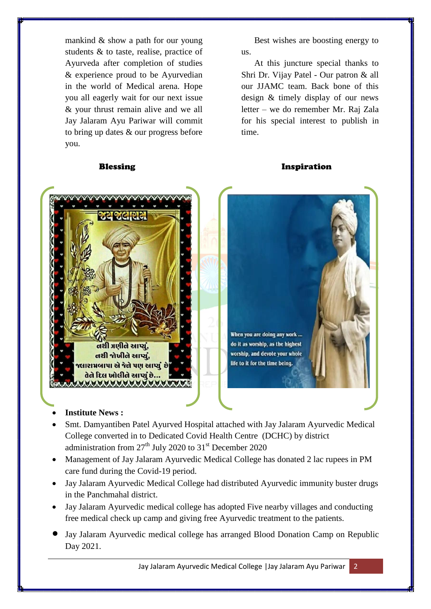mankind & show a path for our young students & to taste, realise, practice of Ayurveda after completion of studies & experience proud to be Ayurvedian in the world of Medical arena. Hope you all eagerly wait for our next issue & your thrust remain alive and we all Jay Jalaram Ayu Pariwar will commit to bring up dates & our progress before you.

Best wishes are boosting energy to us.

At this juncture special thanks to Shri Dr. Vijay Patel - Our patron & all our JJAMC team. Back bone of this design & timely display of our news letter – we do remember Mr. Raj Zala for his special interest to publish in time.

#### Blessing **Inspiration**





- **Institute News :**
- Smt. Damyantiben Patel Ayurved Hospital attached with Jay Jalaram Ayurvedic Medical College converted in to Dedicated Covid Health Centre (DCHC) by district administration from  $27<sup>th</sup>$  July 2020 to  $31<sup>st</sup>$  December 2020
- Management of Jay Jalaram Ayurvedic Medical College has donated 2 lac rupees in PM care fund during the Covid-19 period.
- Jay Jalaram Ayurvedic Medical College had distributed Ayurvedic immunity buster drugs in the Panchmahal district.
- Jay Jalaram Ayurvedic medical college has adopted Five nearby villages and conducting free medical check up camp and giving free Ayurvedic treatment to the patients.
- Jay Jalaram Ayurvedic medical college has arranged Blood Donation Camp on Republic Day 2021.

Jay Jalaram Ayurvedic Medical College |Jay Jalaram Ayu Pariwar 2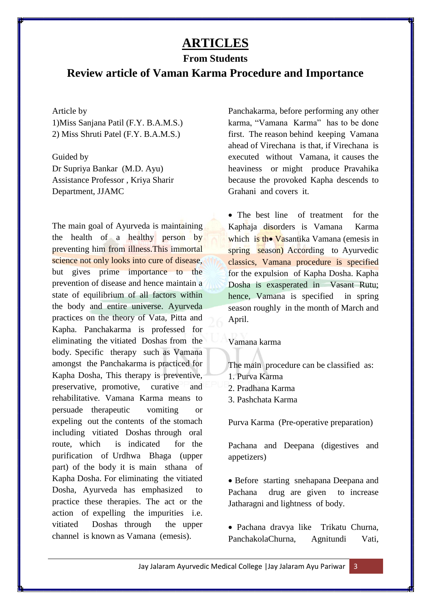# **ARTICLES**

### **From Students**

## **Review article of Vaman Karma Procedure and Importance**

#### Article by

1)Miss Sanjana Patil (F.Y. B.A.M.S.) 2) Miss Shruti Patel (F.Y. B.A.M.S.)

Guided by Dr Supriya Bankar (M.D. Ayu) Assistance Professor , Kriya Sharir Department, JJAMC

The main goal of Ayurveda is maintaining the health of a healthy person by preventing him from illness.This immortal science not only looks into cure of disease, but gives prime importance to the prevention of disease and hence maintain a state of equilibrium of all factors within the body and entire universe. Ayurveda practices on the theory of Vata, Pitta and Kapha. Panchakarma is professed for eliminating the vitiated Doshas from the body. Specific therapy such as Vamana amongst the Panchakarma is practiced for Kapha Dosha, This therapy is preventive, preservative, promotive, curative and rehabilitative. Vamana Karma means to persuade therapeutic vomiting or expeling out the contents of the stomach including vitiated Doshas through oral route, which is indicated for the purification of Urdhwa Bhaga (upper part) of the body it is main sthana of Kapha Dosha. For eliminating the vitiated Dosha, Ayurveda has emphasized to practice these therapies. The act or the action of expelling the impurities i.e. vitiated Doshas through the upper channel is known as Vamana (emesis).

Panchakarma, before performing any other karma, "Vamana Karma" has to be done first. The reason behind keeping Vamana ahead of Virechana is that, if Virechana is executed without Vamana, it causes the heaviness or might produce Pravahika because the provoked Kapha descends to Grahani and covers it.

• The best line of treatment for the Kaphaja disorders is Vamana Karma which is the Vasantika Vamana (emesis in spring season) According to Ayurvedic classics, Vamana procedure is specified for the expulsion of Kapha Dosha. Kapha Dosha is exasperated in Vasant Rutu; hence, Vamana is specified in spring season roughly in the month of March and April.

#### Vamana karma

The main procedure can be classified as:

- 1. Purva Karma
- 2. Pradhana Karma
- 3. Pashchata Karma

Purva Karma (Pre-operative preparation)

Pachana and Deepana (digestives and appetizers)

• Before starting snehapana Deepana and Pachana drug are given to increase Jatharagni and lightness of body.

 Pachana dravya like Trikatu Churna, PanchakolaChurna, Agnitundi Vati,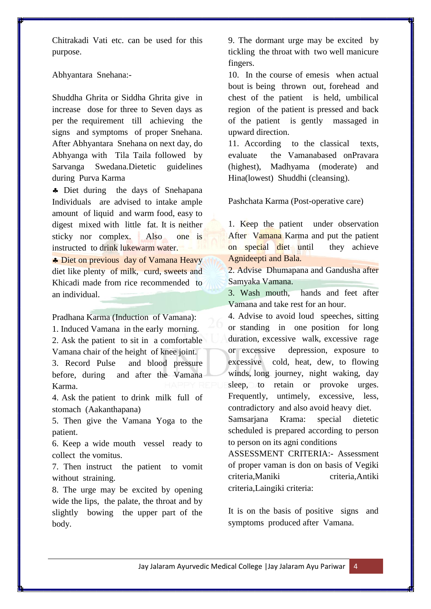Chitrakadi Vati etc. can be used for this purpose.

Abhyantara Snehana:-

Shuddha Ghrita or Siddha Ghrita give in increase dose for three to Seven days as per the requirement till achieving the signs and symptoms of proper Snehana. After Abhyantara Snehana on next day, do Abhyanga with Tila Taila followed by Sarvanga Swedana.Dietetic guidelines during Purva Karma

• Diet during the days of Snehapana Individuals are advised to intake ample amount of liquid and warm food, easy to digest mixed with little fat. It is neither sticky nor complex. Also one is instructed to drink lukewarm water.

Diet on previous day of Vamana Heavy diet like plenty of milk, curd, sweets and Khicadi made from rice recommended to an individual.

Pradhana Karma (Induction of Vamana): 1. Induced Vamana in the early morning. 2. Ask the patient to sit in a comfortable Vamana chair of the height of knee joint. 3. Record Pulse and blood pressure before, during and after the Vamana Karma.

4. Ask the patient to drink milk full of stomach (Aakanthapana)

5. Then give the Vamana Yoga to the patient.

6. Keep a wide mouth vessel ready to collect the vomitus.

7. Then instruct the patient to vomit without straining.

8. The urge may be excited by opening wide the lips, the palate, the throat and by slightly bowing the upper part of the body.

9. The dormant urge may be excited by tickling the throat with two well manicure fingers.

10. In the course of emesis when actual bout is being thrown out, forehead and chest of the patient is held, umbilical region of the patient is pressed and back of the patient is gently massaged in upward direction.

11. According to the classical texts, evaluate the Vamanabased onPravara (highest), Madhyama (moderate) and Hina(lowest) Shuddhi (cleansing).

Pashchata Karma (Post-operative care)

1. Keep the patient under observation After Vamana Karma and put the patient on special diet until they achieve Agnideepti and Bala.

2. Advise Dhumapana and Gandusha after Samyaka Vamana.

3. Wash mouth, hands and feet after Vamana and take rest for an hour.

4. Advise to avoid loud speeches, sitting or standing in one position for long duration, excessive walk, excessive rage or excessive depression, exposure to excessive cold, heat, dew, to flowing winds, long journey, night waking, day sleep, to retain or provoke urges. Frequently, untimely, excessive, less, contradictory and also avoid heavy diet. Samsarjana Krama: special dietetic

scheduled is prepared according to person to person on its agni conditions ASSESSMENT CRITERIA:- Assessment

of proper vaman is don on basis of Vegiki criteria,Maniki criteria,Antiki criteria,Laingiki criteria:

It is on the basis of positive signs and symptoms produced after Vamana.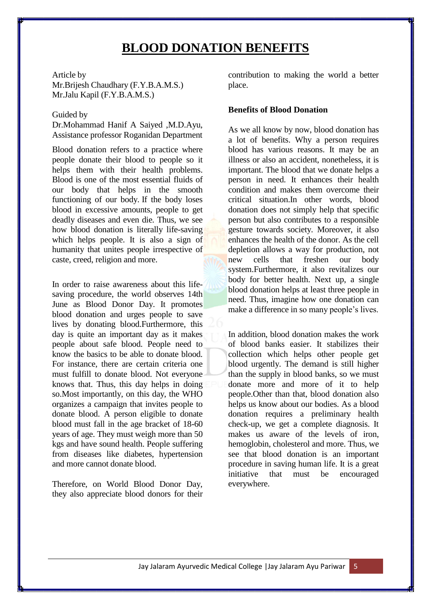# **BLOOD DONATION BENEFITS**

Article by

Mr.Brijesh Chaudhary (F.Y.B.A.M.S.) Mr.Jalu Kapil (F.Y.B.A.M.S.)

#### Guided by

Dr.Mohammad Hanif A Saiyed ,M.D.Ayu, Assistance professor Roganidan Department

Blood donation refers to a practice where people donate their blood to people so it helps them with their health problems. Blood is one of the most essential fluids of our body that helps in the smooth functioning of our body. If the body loses blood in excessive amounts, people to get deadly diseases and even die. Thus, we see how blood donation is literally life-saving which helps people. It is also a sign of humanity that unites people irrespective of caste, creed, religion and more.

In order to raise awareness about this lifesaving procedure, the world observes 14th June as Blood Donor Day. It promotes blood donation and urges people to save lives by donating blood.Furthermore, this day is quite an important day as it makes people about safe blood. People need to know the basics to be able to donate blood. For instance, there are certain criteria one must fulfill to donate blood. Not everyone knows that. Thus, this day helps in doing so.Most importantly, on this day, the WHO organizes a campaign that invites people to donate blood. A person eligible to donate blood must fall in the age bracket of 18-60 years of age. They must weigh more than 50 kgs and have sound health. People suffering from diseases like diabetes, hypertension and more cannot donate blood.

Therefore, on World Blood Donor Day, they also appreciate blood donors for their

contribution to making the world a better place.

#### **Benefits of Blood Donation**

As we all know by now, blood donation has a lot of benefits. Why a person requires blood has various reasons. It may be an illness or also an accident, nonetheless, it is important. The blood that we donate helps a person in need. It enhances their health condition and makes them overcome their critical situation.In other words, blood donation does not simply help that specific person but also contributes to a responsible gesture towards society. Moreover, it also enhances the health of the donor. As the cell depletion allows a way for production, not new cells that freshen our body system.Furthermore, it also revitalizes our body for better health. Next up, a single blood donation helps at least three people in need. Thus, imagine how one donation can make a difference in so many people's lives.

In addition, blood donation makes the work of blood banks easier. It stabilizes their collection which helps other people get blood urgently. The demand is still higher than the supply in blood banks, so we must donate more and more of it to help people.Other than that, blood donation also helps us know about our bodies. As a blood donation requires a preliminary health check-up, we get a complete diagnosis. It makes us aware of the levels of iron, hemoglobin, cholesterol and more. Thus, we see that blood donation is an important procedure in saving human life. It is a great initiative that must be encouraged everywhere.